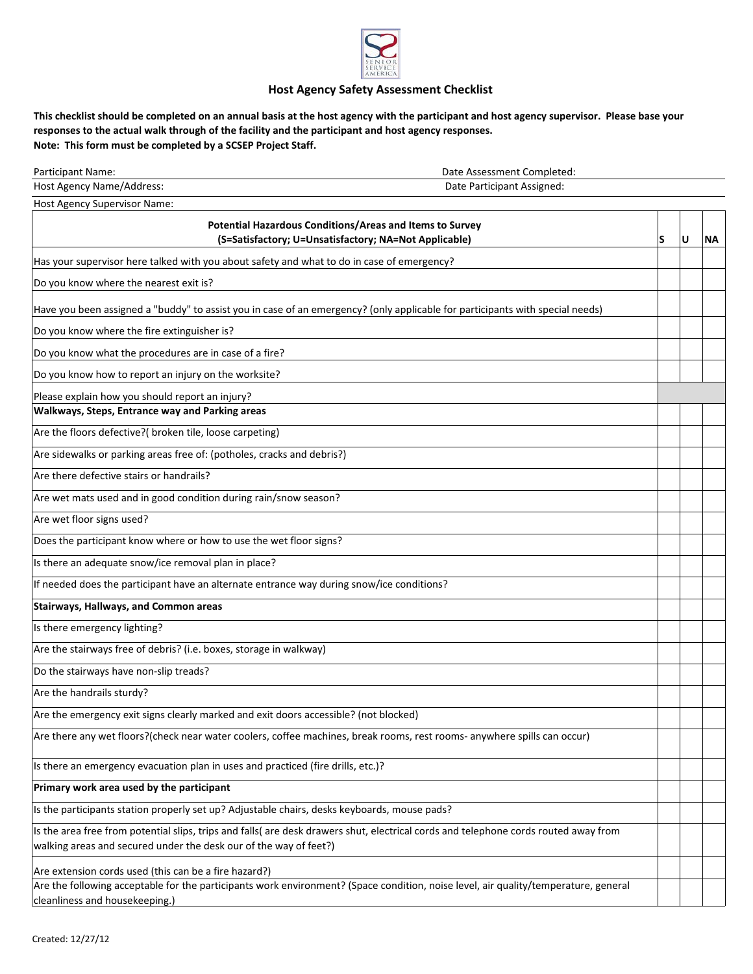

## **Host Agency Safety Assessment Checklist**

**This checklist should be completed on an annual basis at the host agency with the participant and host agency supervisor. Please base your responses to the actual walk through of the facility and the participant and host agency responses. Note: This form must be completed by a SCSEP Project Staff.** 

| Participant Name:                                                                                                                                                     | Date Assessment Completed: |   |   |           |  |
|-----------------------------------------------------------------------------------------------------------------------------------------------------------------------|----------------------------|---|---|-----------|--|
| Host Agency Name/Address:<br>Date Participant Assigned:                                                                                                               |                            |   |   |           |  |
| Host Agency Supervisor Name:                                                                                                                                          |                            |   |   |           |  |
| Potential Hazardous Conditions/Areas and Items to Survey                                                                                                              |                            |   |   |           |  |
| (S=Satisfactory; U=Unsatisfactory; NA=Not Applicable)                                                                                                                 |                            | S | U | <b>NA</b> |  |
| Has your supervisor here talked with you about safety and what to do in case of emergency?                                                                            |                            |   |   |           |  |
| Do you know where the nearest exit is?                                                                                                                                |                            |   |   |           |  |
| Have you been assigned a "buddy" to assist you in case of an emergency? (only applicable for participants with special needs)                                         |                            |   |   |           |  |
| Do you know where the fire extinguisher is?                                                                                                                           |                            |   |   |           |  |
| Do you know what the procedures are in case of a fire?                                                                                                                |                            |   |   |           |  |
| Do you know how to report an injury on the worksite?                                                                                                                  |                            |   |   |           |  |
| Please explain how you should report an injury?                                                                                                                       |                            |   |   |           |  |
| Walkways, Steps, Entrance way and Parking areas                                                                                                                       |                            |   |   |           |  |
| Are the floors defective?( broken tile, loose carpeting)                                                                                                              |                            |   |   |           |  |
| Are sidewalks or parking areas free of: (potholes, cracks and debris?)                                                                                                |                            |   |   |           |  |
| Are there defective stairs or handrails?                                                                                                                              |                            |   |   |           |  |
| Are wet mats used and in good condition during rain/snow season?                                                                                                      |                            |   |   |           |  |
| Are wet floor signs used?                                                                                                                                             |                            |   |   |           |  |
| Does the participant know where or how to use the wet floor signs?                                                                                                    |                            |   |   |           |  |
| Is there an adequate snow/ice removal plan in place?                                                                                                                  |                            |   |   |           |  |
| If needed does the participant have an alternate entrance way during snow/ice conditions?                                                                             |                            |   |   |           |  |
| <b>Stairways, Hallways, and Common areas</b>                                                                                                                          |                            |   |   |           |  |
| Is there emergency lighting?                                                                                                                                          |                            |   |   |           |  |
| Are the stairways free of debris? (i.e. boxes, storage in walkway)                                                                                                    |                            |   |   |           |  |
| Do the stairways have non-slip treads?                                                                                                                                |                            |   |   |           |  |
| Are the handrails sturdy?                                                                                                                                             |                            |   |   |           |  |
| Are the emergency exit signs clearly marked and exit doors accessible? (not blocked)                                                                                  |                            |   |   |           |  |
| Are there any wet floors?(check near water coolers, coffee machines, break rooms, rest rooms- anywhere spills can occur)                                              |                            |   |   |           |  |
| Is there an emergency evacuation plan in uses and practiced (fire drills, etc.)?                                                                                      |                            |   |   |           |  |
| Primary work area used by the participant                                                                                                                             |                            |   |   |           |  |
| Is the participants station properly set up? Adjustable chairs, desks keyboards, mouse pads?                                                                          |                            |   |   |           |  |
| Is the area free from potential slips, trips and falls( are desk drawers shut, electrical cords and telephone cords routed away from                                  |                            |   |   |           |  |
| walking areas and secured under the desk our of the way of feet?)                                                                                                     |                            |   |   |           |  |
| Are extension cords used (this can be a fire hazard?)                                                                                                                 |                            |   |   |           |  |
| Are the following acceptable for the participants work environment? (Space condition, noise level, air quality/temperature, general<br>cleanliness and housekeeping.) |                            |   |   |           |  |